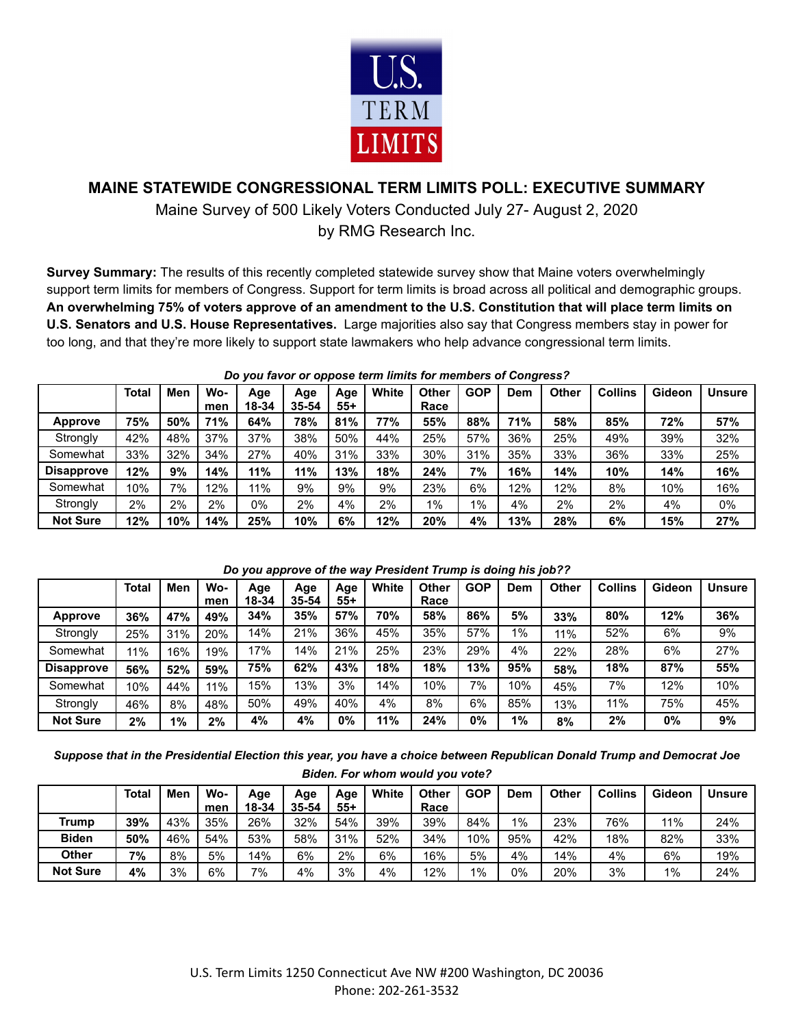

## **MAINE STATEWIDE CONGRESSIONAL TERM LIMITS POLL: EXECUTIVE SUMMARY**

Maine Survey of 500 Likely Voters Conducted July 27- August 2, 2020 by RMG Research Inc.

**Survey Summary:** The results of this recently completed statewide survey show that Maine voters overwhelmingly support term limits for members of Congress. Support for term limits is broad across all political and demographic groups. An overwhelming 75% of voters approve of an amendment to the U.S. Constitution that will place term limits on **U.S. Senators and U.S. House Representatives.** Large majorities also say that Congress members stay in power for too long, and that they're more likely to support state lawmakers who help advance congressional term limits.

|                   | <b>Total</b> | Men | Wo-        | Age<br>18-34 | Age<br>$35 - 54$ | Age<br>55+ | White | <b>Other</b><br>Race | <b>GOP</b> | Dem | <b>Other</b> | <b>Collins</b> | Gideon | <b>Unsure</b> |
|-------------------|--------------|-----|------------|--------------|------------------|------------|-------|----------------------|------------|-----|--------------|----------------|--------|---------------|
| <b>Approve</b>    | 75%          | 50% | men<br>71% | 64%          | 78%              | 81%        | 77%   | 55%                  | 88%        | 71% | 58%          | 85%            | 72%    | 57%           |
| Strongly          | 42%          | 48% | 37%        | 37%          | 38%              | 50%        | 44%   | 25%                  | 57%        | 36% | 25%          | 49%            | 39%    | 32%           |
| Somewhat          | 33%          | 32% | 34%        | 27%          | 40%              | 31%        | 33%   | 30%                  | 31%        | 35% | 33%          | 36%            | 33%    | 25%           |
| <b>Disapprove</b> | 12%          | 9%  | 14%        | 11%          | 11%              | 13%        | 18%   | 24%                  | 7%         | 16% | 14%          | 10%            | 14%    | 16%           |
| Somewhat          | 10%          | 7%  | 12%        | 11%          | 9%               | 9%         | 9%    | 23%                  | 6%         | 12% | 12%          | 8%             | 10%    | 16%           |
| Strongly          | 2%           | 2%  | 2%         | $0\%$        | 2%               | 4%         | 2%    | 1%                   | $1\%$      | 4%  | 2%           | 2%             | 4%     | 0%            |
| <b>Not Sure</b>   | 12%          | 10% | 14%        | 25%          | 10%              | 6%         | 12%   | 20%                  | 4%         | 13% | 28%          | 6%             | 15%    | 27%           |

*Do you favor or oppose term limits for members of Congress?*

|                   |              |     |            |              |                  |              |       |               |            | -<br>- - - |              |                |        |               |
|-------------------|--------------|-----|------------|--------------|------------------|--------------|-------|---------------|------------|------------|--------------|----------------|--------|---------------|
|                   | <b>Total</b> | Men | Wo-<br>men | Age<br>18-34 | Age<br>$35 - 54$ | Age<br>$55+$ | White | Other<br>Race | <b>GOP</b> | Dem        | <b>Other</b> | <b>Collins</b> | Gideon | <b>Unsure</b> |
| <b>Approve</b>    | 36%          | 47% | 49%        | 34%          | 35%              | 57%          | 70%   | 58%           | 86%        | 5%         | 33%          | 80%            | 12%    | 36%           |
| Strongly          | 25%          | 31% | 20%        | 14%          | 21%              | 36%          | 45%   | 35%           | 57%        | $1\%$      | 11%          | 52%            | 6%     | 9%            |
| Somewhat          | 11%          | 16% | 19%        | 17%          | 14%              | 21%          | 25%   | 23%           | 29%        | 4%         | 22%          | 28%            | 6%     | 27%           |
| <b>Disapprove</b> | 56%          | 52% | 59%        | 75%          | 62%              | 43%          | 18%   | 18%           | 13%        | 95%        | 58%          | 18%            | 87%    | 55%           |
| Somewhat          | 10%          | 44% | 11%        | 15%          | 13%              | 3%           | 14%   | 10%           | 7%         | 10%        | 45%          | 7%             | 12%    | 10%           |
| Strongly          | 46%          | 8%  | 48%        | 50%          | 49%              | 40%          | 4%    | 8%            | 6%         | 85%        | 13%          | 11%            | 75%    | 45%           |
| <b>Not Sure</b>   | 2%           | 1%  | 2%         | 4%           | 4%               | 0%           | 11%   | 24%           | 0%         | $1\%$      | 8%           | 2%             | $0\%$  | 9%            |

## *Do you approve of the way President Trump is doing his job??*

*Suppose that in the Presidential Election this year, you have a choice between Republican Donald Trump and Democrat Joe Biden. For whom would you vote?*

|                 | Total | Men | Wo- | Age   | Aqe       | Age   | White | Other | <b>GOP</b> | Dem | Other | <b>Collins</b> | Gideon | <b>Unsure</b> |
|-----------------|-------|-----|-----|-------|-----------|-------|-------|-------|------------|-----|-------|----------------|--------|---------------|
|                 |       |     | men | 18-34 | $35 - 54$ | $55+$ |       | Race  |            |     |       |                |        |               |
| Trump           | 39%   | 43% | 35% | 26%   | 32%       | 54%   | 39%   | 39%   | 84%        | 1%  | 23%   | 76%            | 11%    | 24%           |
| <b>Biden</b>    | 50%   | 46% | 54% | 53%   | 58%       | 31%   | 52%   | 34%   | 10%        | 95% | 42%   | 18%            | 82%    | 33%           |
| Other           | 7%    | 8%  | 5%  | 14%   | 6%        | 2%    | 6%    | 16%   | 5%         | 4%  | 14%   | 4%             | 6%     | 19%           |
| <b>Not Sure</b> | 4%    | 3%  | 6%  | 7%    | 4%        | 3%    | 4%    | 12%   | $1\%$      | 0%  | 20%   | 3%             | $1\%$  | 24%           |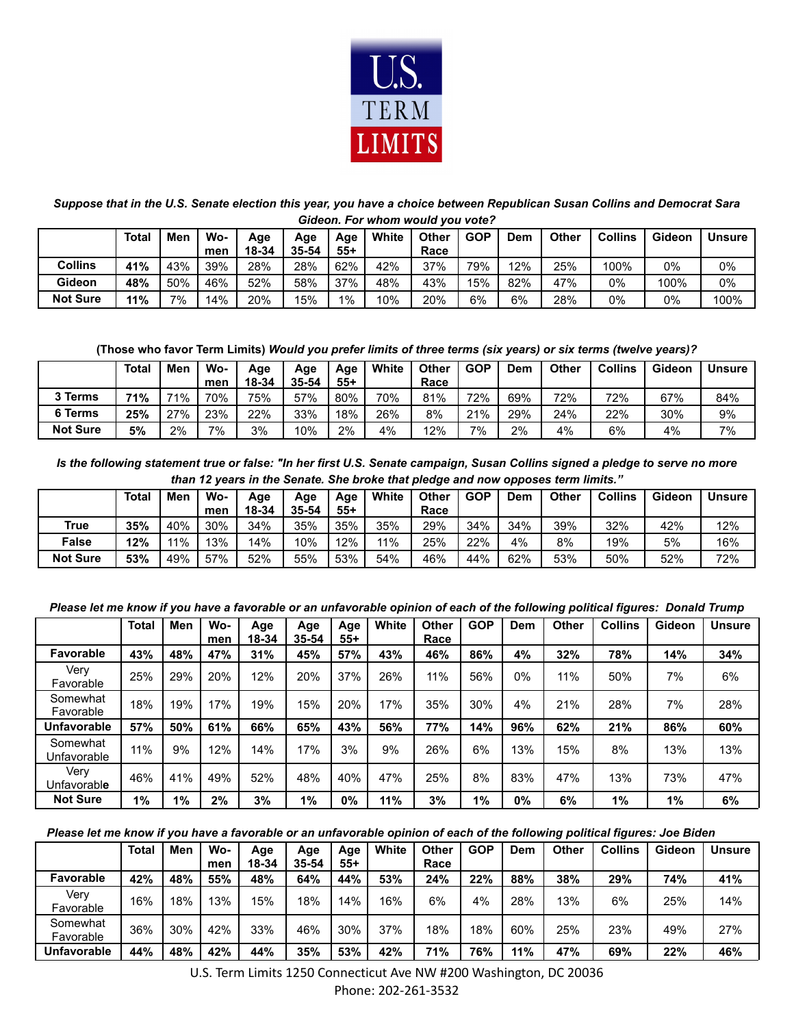

*Suppose that in the U.S. Senate election this year, you have a choice between Republican Susan Collins and Democrat Sara Gideon. For whom would you vote?*

|                 | Total | Men | Wo-<br>men. | Age<br>18-34 | Age<br>35-54 | Age<br>$55+$ | White | <b>Other</b><br>Race | GOP | Dem | Other | <b>Collins</b> | Gideon | <b>Unsure</b> |
|-----------------|-------|-----|-------------|--------------|--------------|--------------|-------|----------------------|-----|-----|-------|----------------|--------|---------------|
| <b>Collins</b>  | 41%   | 43% | 39%         | 28%          | 28%          | 62%          | 42%   | 37%                  | 79% | 2%  | 25%   | 100%           | 0%     | 0%            |
| Gideon          | 48%   | 50% | 46%         | 52%          | 58%          | 37%          | 48%   | 43%                  | 15% | 82% | 47%   | 0%             | 100%   | 0%            |
| <b>Not Sure</b> | 11%   | 7%  | 14%         | 20%          | 15%          | $1\%$        | 10%   | 20%                  | 6%  | 6%  | 28%   | 0%             | 0%     | 100%          |

**(Those who favor Term Limits)** *Would you prefer limits of three terms (six years) or six terms (twelve years)?*

|                 | <b>Total</b> | Men    | Wo-<br>men | Age<br>18-34 | Age<br>$35 - 54$ | Age<br>$55+$ | White | <b>Other</b><br>Race | <b>GOP</b> | Dem | <b>Other</b> | <b>Collins</b> | Gideon | <b>Unsure</b> |
|-----------------|--------------|--------|------------|--------------|------------------|--------------|-------|----------------------|------------|-----|--------------|----------------|--------|---------------|
| 3 Terms         | 71%          | 71%    | 70%        | 75%          | 57%              | 80%          | 70%   | 81%                  | 72%        | 69% | 72%          | 72%            | 67%    | 84%           |
| 6 Terms         | 25%          | $27\%$ | 23%        | 22%          | 33%              | 18%          | 26%   | 8%                   | 21%        | 29% | 24%          | 22%            | 30%    | 9%            |
| <b>Not Sure</b> | 5%           | 2%     | 7%         | 3%           | 10%              | 2%           | 4%    | 2%                   | 7%         | 2%  | 4%           | 6%             | 4%     | 7%            |

*Is the following statement true or false: "In her first U.S. Senate campaign, Susan Collins signed a pledge to serve no more than 12 years in the Senate. She broke that pledge and now opposes term limits."*

|                 | <b>Total</b> | Men | Wo-<br>mer | Age<br>18-34 | Age<br>35-54 | Age<br>$55+$ | White | <b>Other</b><br>Race | <b>GOP</b> | Dem | Other | <b>Collins</b> | Gideon | <b>Unsure</b> |
|-----------------|--------------|-----|------------|--------------|--------------|--------------|-------|----------------------|------------|-----|-------|----------------|--------|---------------|
| True            | 35%          | 40% | 30%        | 34%          | 35%          | 35%          | 35%   | 29%                  | 34%        | 34% | 39%   | 32%            | 42%    | 12%           |
| <b>False</b>    | 12%          | 11% | 13%        | 14%          | 10%          | 12%          | 11%   | 25%                  | 22%        | 4%  | 8%    | 19%            | 5%     | 16%           |
| <b>Not Sure</b> | 53%          | 49% | 57%        | 52%          | 55%          | 53%          | 54%   | 46%                  | 44%        | 62% | 53%   | 50%            | 52%    | 72%           |

*Please let me know if you have a favorable or an unfavorable opinion of each of the following political figures: Donald Trump*

|                             | <b>Total</b> | Men | Wo-<br>men | Age<br>18-34 | Age<br>35-54 | Age<br>55+ | White | <b>Other</b><br>Race | <b>GOP</b> | Dem | <b>Other</b> | <b>Collins</b> | Gideon | <b>Unsure</b> |
|-----------------------------|--------------|-----|------------|--------------|--------------|------------|-------|----------------------|------------|-----|--------------|----------------|--------|---------------|
| <b>Favorable</b>            | 43%          | 48% | 47%        | 31%          | 45%          | 57%        | 43%   | 46%                  | 86%        | 4%  | 32%          | 78%            | 14%    | 34%           |
| Very<br>Favorable           | 25%          | 29% | 20%        | 12%          | 20%          | 37%        | 26%   | 11%                  | 56%        | 0%  | 11%          | 50%            | 7%     | 6%            |
| Somewhat<br>Favorable       | 18%          | 19% | 17%        | 19%          | 15%          | 20%        | 17%   | 35%                  | 30%        | 4%  | 21%          | 28%            | 7%     | 28%           |
| <b>Unfavorable</b>          | 57%          | 50% | 61%        | 66%          | 65%          | 43%        | 56%   | 77%                  | 14%        | 96% | 62%          | 21%            | 86%    | 60%           |
| Somewhat<br>Unfavorable     | 11%          | 9%  | 12%        | 14%          | 17%          | 3%         | 9%    | 26%                  | 6%         | 13% | 15%          | 8%             | 13%    | 13%           |
| Very<br>Unfavorabl <b>e</b> | 46%          | 41% | 49%        | 52%          | 48%          | 40%        | 47%   | 25%                  | 8%         | 83% | 47%          | 13%            | 73%    | 47%           |
| <b>Not Sure</b>             | 1%           | 1%  | 2%         | 3%           | $1\%$        | 0%         | 11%   | 3%                   | $1\%$      | 0%  | 6%           | $1\%$          | $1\%$  | 6%            |

*Please let me know if you have a favorable or an unfavorable opinion of each of the following political figures: Joe Biden*

|                       | Total | Men | Wo- | Age   | Age   | Age | White | <b>Other</b> | <b>GOP</b> | Dem | Other | <b>Collins</b> | Gideon | <b>Unsure</b> |
|-----------------------|-------|-----|-----|-------|-------|-----|-------|--------------|------------|-----|-------|----------------|--------|---------------|
|                       |       |     | men | 18-34 | 35-54 | 55+ |       | Race         |            |     |       |                |        |               |
| Favorable             | 42%   | 48% | 55% | 48%   | 64%   | 44% | 53%   | 24%          | 22%        | 88% | 38%   | 29%            | 74%    | 41%           |
| Verv<br>Favorable     | 16%   | 18% | 13% | 15%   | 18%   | 14% | 16%   | 6%           | 4%         | 28% | 13%   | 6%             | 25%    | 14%           |
| Somewhat<br>Favorable | 36%   | 30% | 42% | 33%   | 46%   | 30% | 37%   | 18%          | 18%        | 60% | 25%   | 23%            | 49%    | 27%           |
| <b>Unfavorable</b>    | 44%   | 48% | 42% | 44%   | 35%   | 53% | 42%   | 71%          | 76%        | 11% | 47%   | 69%            | 22%    | 46%           |

U.S. Term Limits 1250 Connecticut Ave NW #200 Washington, DC 20036

Phone: 202-261-3532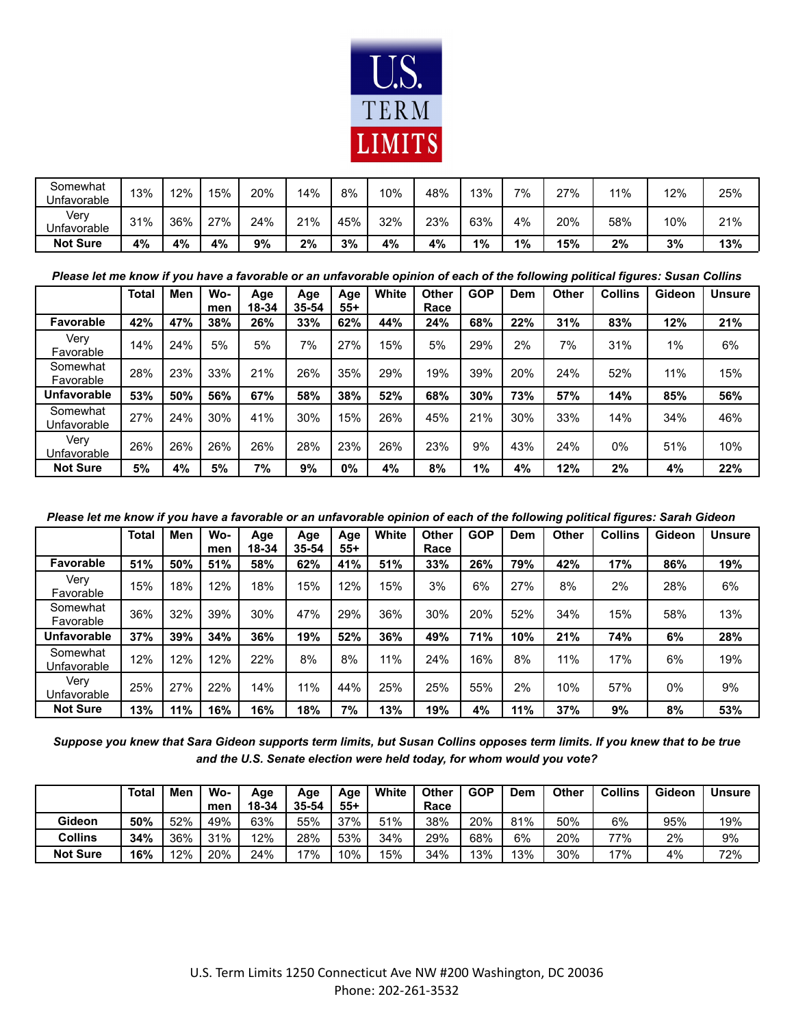

| Somewhat<br>Unfavorable | 13% | 12% | 15% | 20% | 14% | 8%  | 10% | 48% | 3%  | 7% | $27\%$<br>ا ے | 11% | 12% | 25% |
|-------------------------|-----|-----|-----|-----|-----|-----|-----|-----|-----|----|---------------|-----|-----|-----|
| Verv<br>Jnfavorable     | 31% | 36% | 27% | 24% | 21% | 45% | 32% | 23% | 63% | 4% | 20%           | 58% | 10% | 21% |
| <b>Not Sure</b>         | 4%  | 4%  | 4%  | 9%  | 2%  | 3%  | 4%  | 4%  | 1%  | 1% | 15%           | 2%  | 3%  | 13% |

*Please let me know if you have a favorable or an unfavorable opinion of each of the following political figures: Susan Collins*

|                         | <b>Total</b> | Men | Wo-<br>men | Age<br>18-34 | Age<br>35-54 | Age<br>55+ | White | Other<br>Race | <b>GOP</b> | Dem | <b>Other</b> | <b>Collins</b> | Gideon | <b>Unsure</b> |
|-------------------------|--------------|-----|------------|--------------|--------------|------------|-------|---------------|------------|-----|--------------|----------------|--------|---------------|
| <b>Favorable</b>        | 42%          | 47% | 38%        | 26%          | 33%          | 62%        | 44%   | 24%           | 68%        | 22% | 31%          | 83%            | 12%    | 21%           |
| Very<br>Favorable       | 14%          | 24% | 5%         | 5%           | 7%           | 27%        | 15%   | 5%            | 29%        | 2%  | 7%           | 31%            | 1%     | 6%            |
| Somewhat<br>Favorable   | 28%          | 23% | 33%        | 21%          | 26%          | 35%        | 29%   | 19%           | 39%        | 20% | 24%          | 52%            | 11%    | 15%           |
| <b>Unfavorable</b>      | 53%          | 50% | 56%        | 67%          | 58%          | 38%        | 52%   | 68%           | 30%        | 73% | 57%          | 14%            | 85%    | 56%           |
| Somewhat<br>Unfavorable | 27%          | 24% | 30%        | 41%          | 30%          | 15%        | 26%   | 45%           | 21%        | 30% | 33%          | 14%            | 34%    | 46%           |
| Verv<br>Unfavorable     | 26%          | 26% | 26%        | 26%          | 28%          | 23%        | 26%   | 23%           | 9%         | 43% | 24%          | 0%             | 51%    | 10%           |
| <b>Not Sure</b>         | 5%           | 4%  | 5%         | 7%           | 9%           | 0%         | 4%    | 8%            | 1%         | 4%  | 12%          | 2%             | 4%     | 22%           |

*Please let me know if you have a favorable or an unfavorable opinion of each of the following political figures: Sarah Gideon*

|                         | <b>Total</b> | Men | Wo-<br>men | Age<br>18-34 | Age<br>35-54 | Age<br>55+ | White | Other<br>Race | <b>GOP</b> | Dem | <b>Other</b> | <b>Collins</b> | Gideon | <b>Unsure</b> |
|-------------------------|--------------|-----|------------|--------------|--------------|------------|-------|---------------|------------|-----|--------------|----------------|--------|---------------|
| <b>Favorable</b>        | 51%          | 50% | 51%        | 58%          | 62%          | 41%        | 51%   | 33%           | 26%        | 79% | 42%          | 17%            | 86%    | 19%           |
| Verv<br>Favorable       | 15%          | 18% | 12%        | 18%          | 15%          | 12%        | 15%   | 3%            | 6%         | 27% | 8%           | 2%             | 28%    | 6%            |
| Somewhat<br>Favorable   | 36%          | 32% | 39%        | 30%          | 47%          | 29%        | 36%   | 30%           | 20%        | 52% | 34%          | 15%            | 58%    | 13%           |
| <b>Unfavorable</b>      | 37%          | 39% | 34%        | 36%          | 19%          | 52%        | 36%   | 49%           | 71%        | 10% | 21%          | 74%            | 6%     | 28%           |
| Somewhat<br>Unfavorable | 12%          | 12% | 12%        | 22%          | 8%           | 8%         | 11%   | 24%           | 16%        | 8%  | 11%          | 17%            | 6%     | 19%           |
| Very<br>Unfavorable     | 25%          | 27% | 22%        | 14%          | 11%          | 44%        | 25%   | 25%           | 55%        | 2%  | 10%          | 57%            | 0%     | 9%            |
| <b>Not Sure</b>         | 13%          | 11% | 16%        | 16%          | 18%          | 7%         | 13%   | 19%           | 4%         | 11% | 37%          | 9%             | 8%     | 53%           |

*Suppose you knew that Sara Gideon supports term limits, but Susan Collins opposes term limits. If you knew that to be true and the U.S. Senate election were held today, for whom would you vote?*

|                 | <b>Total</b> | Men | Wo-<br>men | Age<br>18-34 | Age<br>35-54 | Age<br>$55+$ | White | <b>Other</b><br>Race | <b>GOP</b> | Dem | <b>Other</b> | <b>Collins</b> | Gideon | <b>Unsure</b> |
|-----------------|--------------|-----|------------|--------------|--------------|--------------|-------|----------------------|------------|-----|--------------|----------------|--------|---------------|
| Gideon          | 50%          | 52% | 49%        | 63%          | 55%          | 37%          | 51%   | 38%                  | 20%        | 81% | 50%          | 6%             | 95%    | 19%           |
| <b>Collins</b>  | 34%          | 36% | 31%        | 12%          | 28%          | 53%          | 34%   | 29%                  | 68%        | 6%  | 20%          | 77%            | 2%     | 9%            |
| <b>Not Sure</b> | 16%          | 12% | 20%        | 24%          | '7%          | 10%          | 15%   | 34%                  | 13%        | 13% | 30%          | 7%             | 4%     | 72%           |